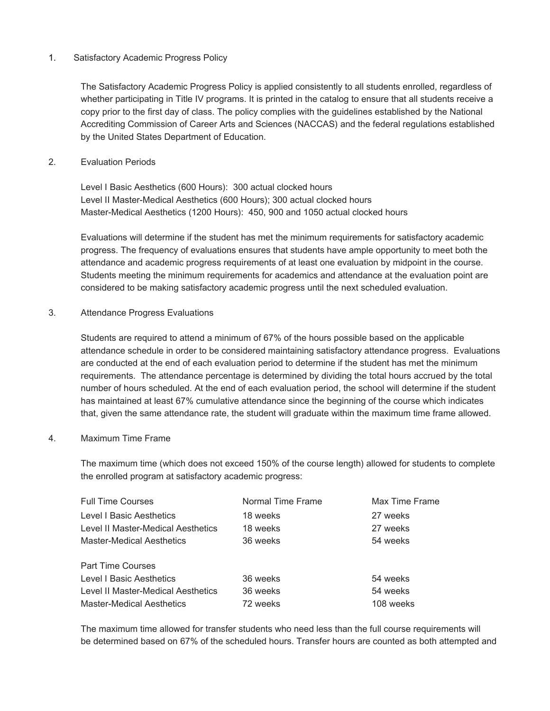# 1. Satisfactory Academic Progress Policy

The Satisfactory Academic Progress Policy is applied consistently to all students enrolled, regardless of whether participating in Title IV programs. It is printed in the catalog to ensure that all students receive a copy prior to the first day of class. The policy complies with the guidelines established by the National Accrediting Commission of Career Arts and Sciences (NACCAS) and the federal regulations established by the United States Department of Education.

# 2. Evaluation Periods

 Level I Basic Aesthetics (600 Hours): 300 actual clocked hours Level II Master-Medical Aesthetics (600 Hours); 300 actual clocked hours Master-Medical Aesthetics (1200 Hours): 450, 900 and 1050 actual clocked hours

Evaluations will determine if the student has met the minimum requirements for satisfactory academic progress. The frequency of evaluations ensures that students have ample opportunity to meet both the attendance and academic progress requirements of at least one evaluation by midpoint in the course. Students meeting the minimum requirements for academics and attendance at the evaluation point are considered to be making satisfactory academic progress until the next scheduled evaluation.

3. Attendance Progress Evaluations

Students are required to attend a minimum of 67% of the hours possible based on the applicable attendance schedule in order to be considered maintaining satisfactory attendance progress. Evaluations are conducted at the end of each evaluation period to determine if the student has met the minimum requirements. The attendance percentage is determined by dividing the total hours accrued by the total number of hours scheduled. At the end of each evaluation period, the school will determine if the student has maintained at least 67% cumulative attendance since the beginning of the course which indicates that, given the same attendance rate, the student will graduate within the maximum time frame allowed.

#### 4. Maximum Time Frame

The maximum time (which does not exceed 150% of the course length) allowed for students to complete the enrolled program at satisfactory academic progress:

| <b>Full Time Courses</b>           | Normal Time Frame | Max Time Frame |
|------------------------------------|-------------------|----------------|
| Level I Basic Aesthetics           | 18 weeks          | 27 weeks       |
| Level II Master-Medical Aesthetics | 18 weeks          | 27 weeks       |
| <b>Master-Medical Aesthetics</b>   | 36 weeks          | 54 weeks       |
| <b>Part Time Courses</b>           |                   |                |
| Level I Basic Aesthetics           | 36 weeks          | 54 weeks       |
| Level II Master-Medical Aesthetics | 36 weeks          | 54 weeks       |
| <b>Master-Medical Aesthetics</b>   | 72 weeks          | 108 weeks      |

The maximum time allowed for transfer students who need less than the full course requirements will be determined based on 67% of the scheduled hours. Transfer hours are counted as both attempted and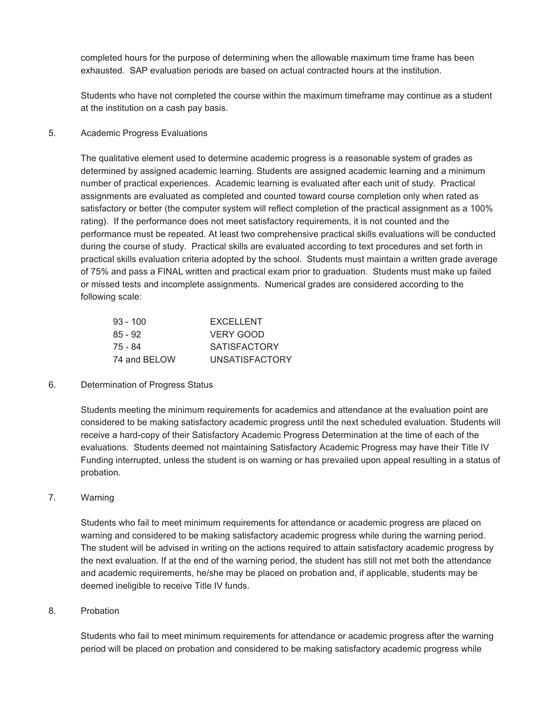completed hours for the purpose of determining when the allowable maximum time frame has been exhausted. SAP evaluation periods are based on actual contracted hours at the institution.

Students who have not completed the course within the maximum timeframe may continue as a student at the institution on a cash pay basis.

#### 5. Academic Progress Evaluations

The qualitative element used to determine academic progress is a reasonable system of grades as determined by assigned academic learning. Students are assigned academic learning and a minimum number of practical experiences. Academic learning is evaluated after each unit of study. Practical assignments are evaluated as completed and counted toward course completion only when rated as satisfactory or better (the computer system will reflect completion of the practical assignment as a 100% rating). If the performance does not meet satisfactory requirements, it is not counted and the performance must be repeated. At least two comprehensive practical skills evaluations will be conducted during the course of study. Practical skills are evaluated according to text procedures and set forth in practical skills evaluation criteria adopted by the school. Students must maintain a written grade average of 75% and pass a FINAL written and practical exam prior to graduation. Students must make up failed or missed tests and incomplete assignments. Numerical grades are considered according to the following scale:

| $93 - 100$   | <b>EXCELLENT</b>      |
|--------------|-----------------------|
| $85 - 92$    | VERY GOOD             |
| 75 - 84      | <b>SATISFACTORY</b>   |
| 74 and BELOW | <b>UNSATISFACTORY</b> |

# 6. Determination of Progress Status

Students meeting the minimum requirements for academics and attendance at the evaluation point are considered to be making satisfactory academic progress until the next scheduled evaluation. Students will receive a hard-copy of their Satisfactory Academic Progress Determination at the time of each of the evaluations. Students deemed not maintaining Satisfactory Academic Progress may have their Title IV Funding interrupted, unless the student is on warning or has prevailed upon appeal resulting in a status of probation.

#### 7. Warning

Students who fail to meet minimum requirements for attendance or academic progress are placed on warning and considered to be making satisfactory academic progress while during the warning period. The student will be advised in writing on the actions required to attain satisfactory academic progress by the next evaluation. If at the end of the warning period, the student has still not met both the attendance and academic requirements, he/she may be placed on probation and, if applicable, students may be deemed ineligible to receive Title IV funds.

#### 8. Probation

Students who fail to meet minimum requirements for attendance or academic progress after the warning period will be placed on probation and considered to be making satisfactory academic progress while